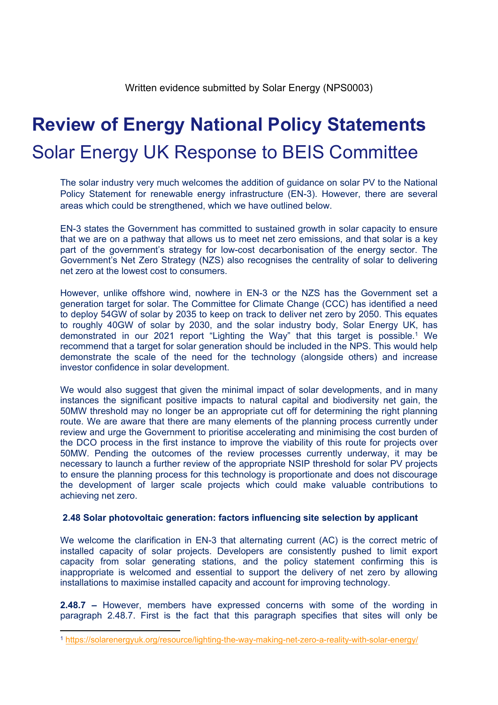# **Review of Energy National Policy Statements** Solar Energy UK Response to BEIS Committee

The solar industry very much welcomes the addition of guidance on solar PV to the National Policy Statement for renewable energy infrastructure (EN-3). However, there are several areas which could be strengthened, which we have outlined below.

EN-3 states the Government has committed to sustained growth in solar capacity to ensure that we are on a pathway that allows us to meet net zero emissions, and that solar is a key part of the government's strategy for low-cost decarbonisation of the energy sector. The Government's Net Zero Strategy (NZS) also recognises the centrality of solar to delivering net zero at the lowest cost to consumers.

However, unlike offshore wind, nowhere in EN-3 or the NZS has the Government set a generation target for solar. The Committee for Climate Change (CCC) has identified a need to deploy 54GW of solar by 2035 to keep on track to deliver net zero by 2050. This equates to roughly 40GW of solar by 2030, and the solar industry body, Solar Energy UK, has demonstrated in our 2021 report "Lighting the Way" that this target is possible.<sup>1</sup> We recommend that a target for solar generation should be included in the NPS. This would help demonstrate the scale of the need for the technology (alongside others) and increase investor confidence in solar development.

We would also suggest that given the minimal impact of solar developments, and in many instances the significant positive impacts to natural capital and biodiversity net gain, the 50MW threshold may no longer be an appropriate cut off for determining the right planning route. We are aware that there are many elements of the planning process currently under review and urge the Government to prioritise accelerating and minimising the cost burden of the DCO process in the first instance to improve the viability of this route for projects over 50MW. Pending the outcomes of the review processes currently underway, it may be necessary to launch a further review of the appropriate NSIP threshold for solar PV projects to ensure the planning process for this technology is proportionate and does not discourage the development of larger scale projects which could make valuable contributions to achieving net zero.

## **2.48 Solar photovoltaic generation: factors influencing site selection by applicant**

We welcome the clarification in EN-3 that alternating current (AC) is the correct metric of installed capacity of solar projects. Developers are consistently pushed to limit export capacity from solar generating stations, and the policy statement confirming this is inappropriate is welcomed and essential to support the delivery of net zero by allowing installations to maximise installed capacity and account for improving technology.

**2.48.7 –** However, members have expressed concerns with some of the wording in paragraph 2.48.7. First is the fact that this paragraph specifies that sites will only be

<sup>1</sup> <https://solarenergyuk.org/resource/lighting-the-way-making-net-zero-a-reality-with-solar-energy/>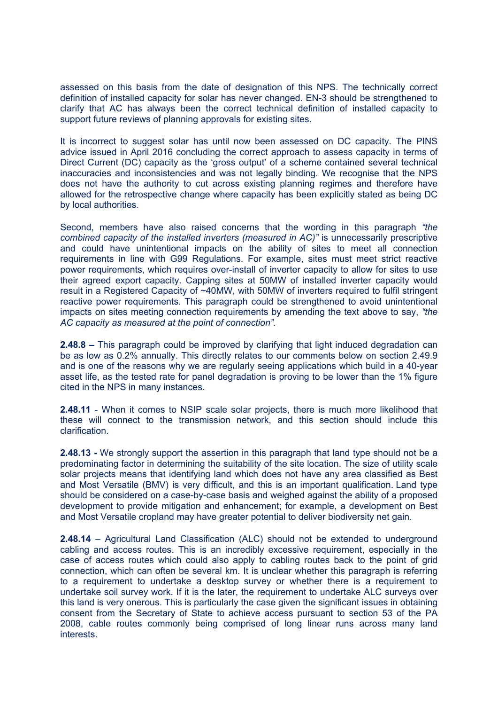assessed on this basis from the date of designation of this NPS. The technically correct definition of installed capacity for solar has never changed. EN-3 should be strengthened to clarify that AC has always been the correct technical definition of installed capacity to support future reviews of planning approvals for existing sites.

It is incorrect to suggest solar has until now been assessed on DC capacity. The PINS advice issued in April 2016 concluding the correct approach to assess capacity in terms of Direct Current (DC) capacity as the 'gross output' of a scheme contained several technical inaccuracies and inconsistencies and was not legally binding. We recognise that the NPS does not have the authority to cut across existing planning regimes and therefore have allowed for the retrospective change where capacity has been explicitly stated as being DC by local authorities.

Second, members have also raised concerns that the wording in this paragraph *"the combined capacity of the installed inverters (measured in AC)"* is unnecessarily prescriptive and could have unintentional impacts on the ability of sites to meet all connection requirements in line with G99 Regulations. For example, sites must meet strict reactive power requirements, which requires over-install of inverter capacity to allow for sites to use their agreed export capacity. Capping sites at 50MW of installed inverter capacity would result in a Registered Capacity of ~40MW, with 50MW of inverters required to fulfil stringent reactive power requirements. This paragraph could be strengthened to avoid unintentional impacts on sites meeting connection requirements by amending the text above to say, *"the AC capacity as measured at the point of connection".*

**2.48.8 –** This paragraph could be improved by clarifying that light induced degradation can be as low as 0.2% annually. This directly relates to our comments below on section 2.49.9 and is one of the reasons why we are regularly seeing applications which build in a 40-year asset life, as the tested rate for panel degradation is proving to be lower than the 1% figure cited in the NPS in many instances.

**2.48.11** - When it comes to NSIP scale solar projects, there is much more likelihood that these will connect to the transmission network, and this section should include this clarification.

**2.48.13 -** We strongly support the assertion in this paragraph that land type should not be a predominating factor in determining the suitability of the site location. The size of utility scale solar projects means that identifying land which does not have any area classified as Best and Most Versatile (BMV) is very difficult, and this is an important qualification. Land type should be considered on a case-by-case basis and weighed against the ability of a proposed development to provide mitigation and enhancement; for example, a development on Best and Most Versatile cropland may have greater potential to deliver biodiversity net gain.

**2.48.14** – Agricultural Land Classification (ALC) should not be extended to underground cabling and access routes. This is an incredibly excessive requirement, especially in the case of access routes which could also apply to cabling routes back to the point of grid connection, which can often be several km. It is unclear whether this paragraph is referring to a requirement to undertake a desktop survey or whether there is a requirement to undertake soil survey work. If it is the later, the requirement to undertake ALC surveys over this land is very onerous. This is particularly the case given the significant issues in obtaining consent from the Secretary of State to achieve access pursuant to section 53 of the PA 2008, cable routes commonly being comprised of long linear runs across many land interests.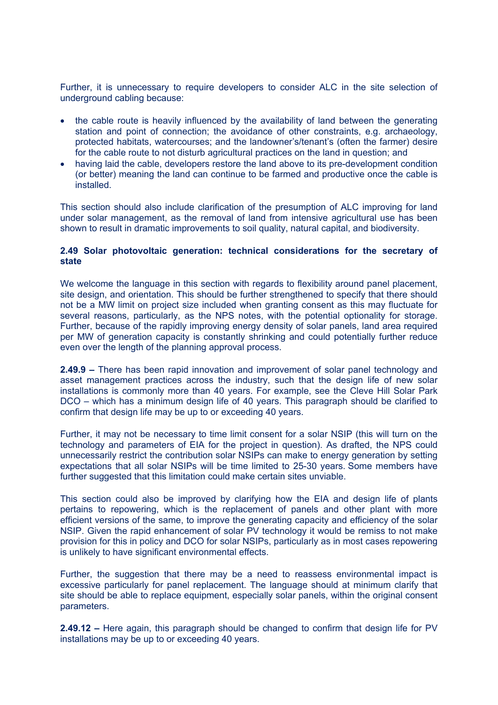Further, it is unnecessary to require developers to consider ALC in the site selection of underground cabling because:

- the cable route is heavily influenced by the availability of land between the generating station and point of connection; the avoidance of other constraints, e.g. archaeology, protected habitats, watercourses; and the landowner's/tenant's (often the farmer) desire for the cable route to not disturb agricultural practices on the land in question; and
- having laid the cable, developers restore the land above to its pre-development condition (or better) meaning the land can continue to be farmed and productive once the cable is installed.

This section should also include clarification of the presumption of ALC improving for land under solar management, as the removal of land from intensive agricultural use has been shown to result in dramatic improvements to soil quality, natural capital, and biodiversity.

#### **2.49 Solar photovoltaic generation: technical considerations for the secretary of state**

We welcome the language in this section with regards to flexibility around panel placement, site design, and orientation. This should be further strengthened to specify that there should not be a MW limit on project size included when granting consent as this may fluctuate for several reasons, particularly, as the NPS notes, with the potential optionality for storage. Further, because of the rapidly improving energy density of solar panels, land area required per MW of generation capacity is constantly shrinking and could potentially further reduce even over the length of the planning approval process.

**2.49.9 –** There has been rapid innovation and improvement of solar panel technology and asset management practices across the industry, such that the design life of new solar installations is commonly more than 40 years. For example, see the Cleve Hill Solar Park DCO – which has a minimum design life of 40 years. This paragraph should be clarified to confirm that design life may be up to or exceeding 40 years.

Further, it may not be necessary to time limit consent for a solar NSIP (this will turn on the technology and parameters of EIA for the project in question). As drafted, the NPS could unnecessarily restrict the contribution solar NSIPs can make to energy generation by setting expectations that all solar NSIPs will be time limited to 25-30 years. Some members have further suggested that this limitation could make certain sites unviable.

This section could also be improved by clarifying how the EIA and design life of plants pertains to repowering, which is the replacement of panels and other plant with more efficient versions of the same, to improve the generating capacity and efficiency of the solar NSIP. Given the rapid enhancement of solar PV technology it would be remiss to not make provision for this in policy and DCO for solar NSIPs, particularly as in most cases repowering is unlikely to have significant environmental effects.

Further, the suggestion that there may be a need to reassess environmental impact is excessive particularly for panel replacement. The language should at minimum clarify that site should be able to replace equipment, especially solar panels, within the original consent parameters.

**2.49.12 –** Here again, this paragraph should be changed to confirm that design life for PV installations may be up to or exceeding 40 years.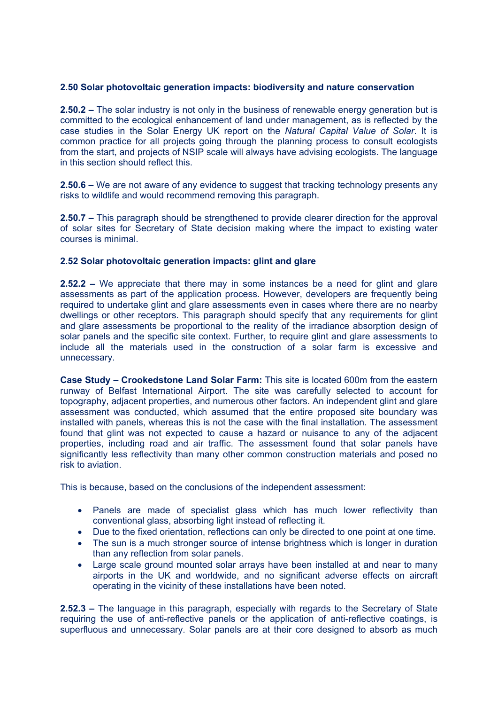### **2.50 Solar photovoltaic generation impacts: biodiversity and nature conservation**

**2.50.2 –** The solar industry is not only in the business of renewable energy generation but is committed to the ecological enhancement of land under management, as is reflected by the case studies in the Solar Energy UK report on the *Natural Capital Value of Solar*. It is common practice for all projects going through the planning process to consult ecologists from the start, and projects of NSIP scale will always have advising ecologists. The language in this section should reflect this.

**2.50.6 –** We are not aware of any evidence to suggest that tracking technology presents any risks to wildlife and would recommend removing this paragraph.

**2.50.7 –** This paragraph should be strengthened to provide clearer direction for the approval of solar sites for Secretary of State decision making where the impact to existing water courses is minimal.

#### **2.52 Solar photovoltaic generation impacts: glint and glare**

**2.52.2 –** We appreciate that there may in some instances be a need for glint and glare assessments as part of the application process. However, developers are frequently being required to undertake glint and glare assessments even in cases where there are no nearby dwellings or other receptors. This paragraph should specify that any requirements for glint and glare assessments be proportional to the reality of the irradiance absorption design of solar panels and the specific site context. Further, to require glint and glare assessments to include all the materials used in the construction of a solar farm is excessive and unnecessary.

**Case Study – Crookedstone Land Solar Farm:** This site is located 600m from the eastern runway of Belfast International Airport. The site was carefully selected to account for topography, adjacent properties, and numerous other factors. An independent glint and glare assessment was conducted, which assumed that the entire proposed site boundary was installed with panels, whereas this is not the case with the final installation. The assessment found that glint was not expected to cause a hazard or nuisance to any of the adjacent properties, including road and air traffic. The assessment found that solar panels have significantly less reflectivity than many other common construction materials and posed no risk to aviation.

This is because, based on the conclusions of the independent assessment:

- Panels are made of specialist glass which has much lower reflectivity than conventional glass, absorbing light instead of reflecting it.
- Due to the fixed orientation, reflections can only be directed to one point at one time.
- The sun is a much stronger source of intense brightness which is longer in duration than any reflection from solar panels.
- Large scale ground mounted solar arrays have been installed at and near to many airports in the UK and worldwide, and no significant adverse effects on aircraft operating in the vicinity of these installations have been noted.

**2.52.3 –** The language in this paragraph, especially with regards to the Secretary of State requiring the use of anti-reflective panels or the application of anti-reflective coatings, is superfluous and unnecessary. Solar panels are at their core designed to absorb as much